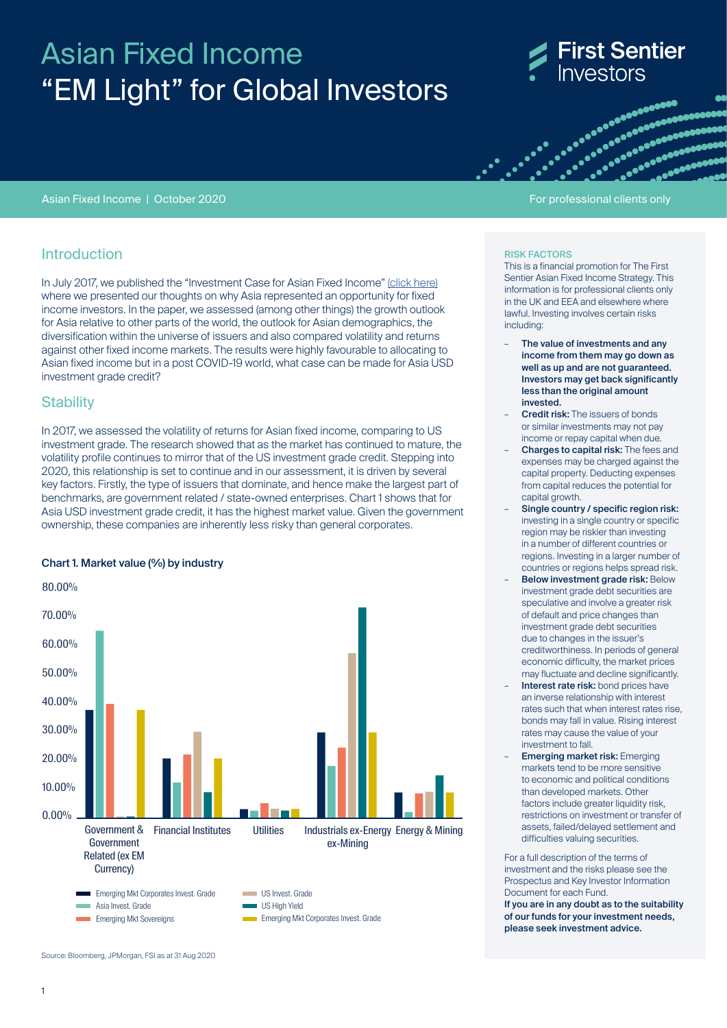## Asian Fixed Income "EM Light" for Global Investors

# **First Sentier Investors**

### Asian Fixed Income | October 2020 For professional clients only and professional clients only

### Introduction

In July 2017, we published the "Investment Case for Asian Fixed Income" [\(click here\)](https://www.firstsentierinvestors.com/content/dam/web/fsi/assets/asia/asia/201707-Asian-Fixed-Income-AsiaIP.pdf) where we presented our thoughts on why Asia represented an opportunity for fixed income investors. In the paper, we assessed (among other things) the growth outlook for Asia relative to other parts of the world, the outlook for Asian demographics, the diversification within the universe of issuers and also compared volatility and returns against other fixed income markets. The results were highly favourable to allocating to Asian fixed income but in a post COVID-19 world, what case can be made for Asia USD investment grade credit?

### **Stability**

In 2017, we assessed the volatility of returns for Asian fixed income, comparing to US investment grade. The research showed that as the market has continued to mature, the volatility profile continues to mirror that of the US investment grade credit. Stepping into 2020, this relationship is set to continue and in our assessment, it is driven by several key factors. Firstly, the type of issuers that dominate, and hence make the largest part of benchmarks, are government related / state-owned enterprises. Chart 1 shows that for Asia USD investment grade credit, it has the highest market value. Given the government ownership, these companies are inherently less risky than general corporates.

### Chart 1. Market value (%) by industry



### RISK FACTORS

This is a financial promotion for The First Sentier Asian Fixed Income Strategy. This information is for professional clients only in the UK and EEA and elsewhere where lawful. Investing involves certain risks including:

- The value of investments and any income from them may go down as well as up and are not guaranteed. Investors may get back significantly less than the original amount invested.
- **Credit risk:** The issuers of bonds or similar investments may not pay income or repay capital when due.
- Charges to capital risk: The fees and expenses may be charged against the capital property. Deducting expenses from capital reduces the potential for capital growth.
- Single country / specific region risk: investing in a single country or specific region may be riskier than investing in a number of different countries or regions. Investing in a larger number of countries or regions helps spread risk.
- **Below investment grade risk: Below** investment grade debt securities are speculative and involve a greater risk of default and price changes than investment grade debt securities due to changes in the issuer's creditworthiness. In periods of general economic difficulty, the market prices may fluctuate and decline significantly.
- Interest rate risk: bond prices have an inverse relationship with interest rates such that when interest rates rise, bonds may fall in value. Rising interest rates may cause the value of your investment to fall.
- **Emerging market risk: Emerging** markets tend to be more sensitive to economic and political conditions than developed markets. Other factors include greater liquidity risk, restrictions on investment or transfer of assets, failed/delayed settlement and difficulties valuing securities.

For a full description of the terms of investment and the risks please see the Prospectus and Key Investor Information Document for each Fund. If you are in any doubt as to the suitability of our funds for your investment needs, please seek investment advice.

Source: Bloomberg, JPMorgan, FSI as at 31 Aug 2020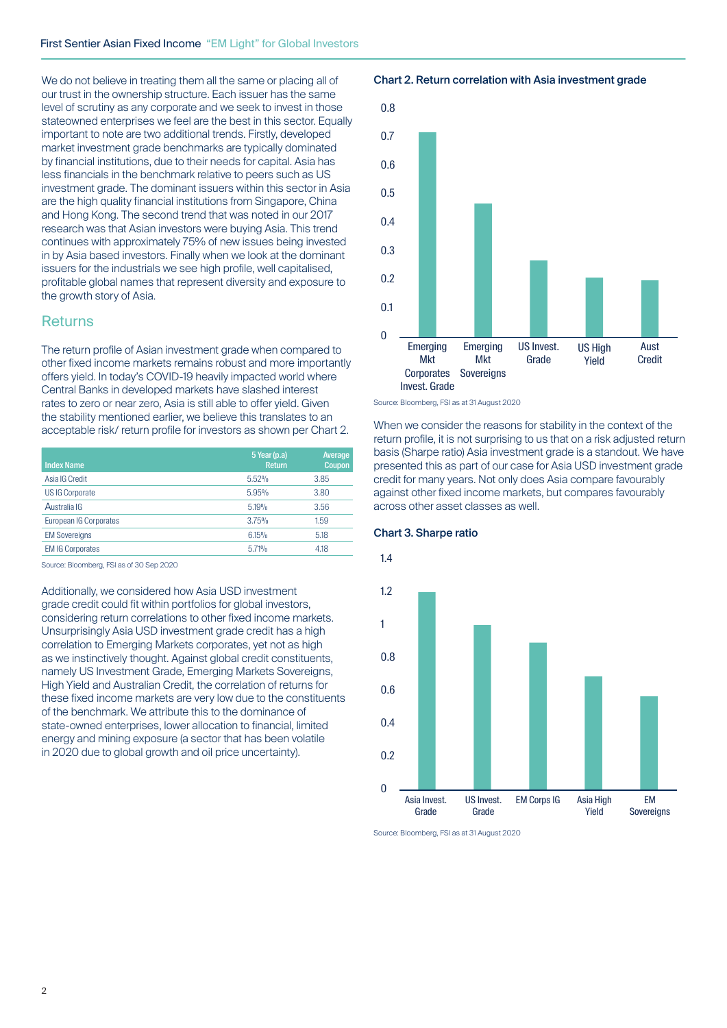We do not believe in treating them all the same or placing all of our trust in the ownership structure. Each issuer has the same level of scrutiny as any corporate and we seek to invest in those stateowned enterprises we feel are the best in this sector. Equally important to note are two additional trends. Firstly, developed market investment grade benchmarks are typically dominated by financial institutions, due to their needs for capital. Asia has less financials in the benchmark relative to peers such as US investment grade. The dominant issuers within this sector in Asia are the high quality financial institutions from Singapore, China and Hong Kong. The second trend that was noted in our 2017 research was that Asian investors were buying Asia. This trend continues with approximately 75% of new issues being invested in by Asia based investors. Finally when we look at the dominant issuers for the industrials we see high profile, well capitalised, profitable global names that represent diversity and exposure to the growth story of Asia.

### Returns

The return profile of Asian investment grade when compared to other fixed income markets remains robust and more importantly offers yield. In today's COVID-19 heavily impacted world where Central Banks in developed markets have slashed interest rates to zero or near zero, Asia is still able to offer yield. Given the stability mentioned earlier, we believe this translates to an acceptable risk/ return profile for investors as shown per Chart 2.

| <b>Index Name</b>       | 5 Year (p.a)<br><b>Return</b> | Average<br>Coupon |
|-------------------------|-------------------------------|-------------------|
| Asia IG Credit          | 5.52%                         | 3.85              |
| <b>US IG Corporate</b>  | 5.95%                         | 3.80              |
| Australia IG            | 5.19%                         | 3.56              |
| European IG Corporates  | 3.75%                         | 1.59              |
| <b>EM Sovereigns</b>    | 6.15%                         | 5.18              |
| <b>EM IG Corporates</b> | 5.71%                         | 4.18              |

Source: Bloomberg, FSI as of 30 Sep 2020

Additionally, we considered how Asia USD investment grade credit could fit within portfolios for global investors, considering return correlations to other fixed income markets. Unsurprisingly Asia USD investment grade credit has a high correlation to Emerging Markets corporates, yet not as high as we instinctively thought. Against global credit constituents, namely US Investment Grade, Emerging Markets Sovereigns, High Yield and Australian Credit, the correlation of returns for these fixed income markets are very low due to the constituents of the benchmark. We attribute this to the dominance of state-owned enterprises, lower allocation to financial, limited energy and mining exposure (a sector that has been volatile in 2020 due to global growth and oil price uncertainty).





Source: Bloomberg, FSI as at 31 August 2020

When we consider the reasons for stability in the context of the return profile, it is not surprising to us that on a risk adjusted return basis (Sharpe ratio) Asia investment grade is a standout. We have presented this as part of our case for Asia USD investment grade credit for many years. Not only does Asia compare favourably against other fixed income markets, but compares favourably across other asset classes as well.



Chart 3. Sharpe ratio

Source: Bloomberg, FSI as at 31 August 2020